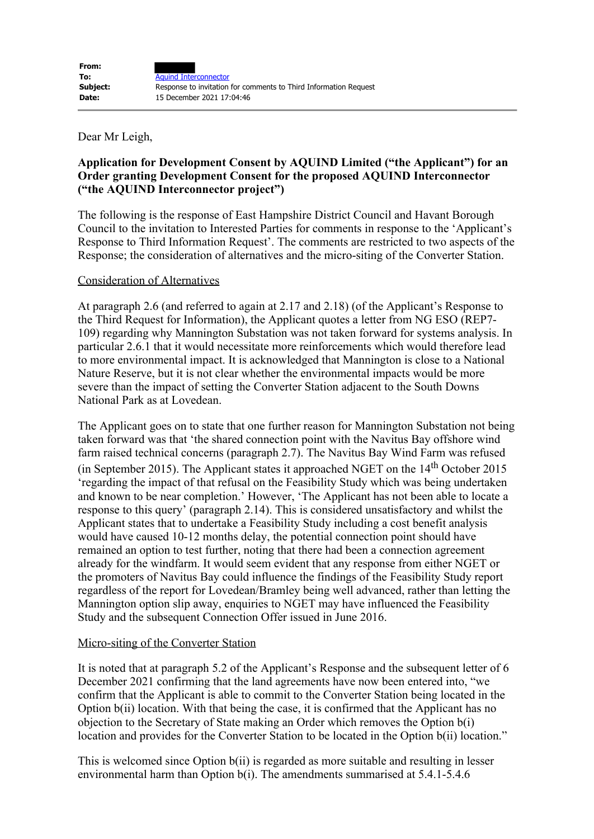Dear Mr Leigh,

## **Application for Development Consent by AQUIND Limited ("the Applicant") for an Order granting Development Consent for the proposed AQUIND Interconnector ("the AQUIND Interconnector project")**

The following is the response of East Hampshire District Council and Havant Borough Council to the invitation to Interested Parties for comments in response to the 'Applicant's Response to Third Information Request'. The comments are restricted to two aspects of the Response; the consideration of alternatives and the micro-siting of the Converter Station.

## Consideration of Alternatives

At paragraph 2.6 (and referred to again at 2.17 and 2.18) (of the Applicant's Response to the Third Request for Information), the Applicant quotes a letter from NG ESO (REP7- 109) regarding why Mannington Substation was not taken forward for systems analysis. In particular 2.6.1 that it would necessitate more reinforcements which would therefore lead to more environmental impact. It is acknowledged that Mannington is close to a National Nature Reserve, but it is not clear whether the environmental impacts would be more severe than the impact of setting the Converter Station adjacent to the South Downs National Park as at Lovedean.

The Applicant goes on to state that one further reason for Mannington Substation not being taken forward was that 'the shared connection point with the Navitus Bay offshore wind farm raised technical concerns (paragraph 2.7). The Navitus Bay Wind Farm was refused (in September 2015). The Applicant states it approached NGET on the 14th October 2015 'regarding the impact of that refusal on the Feasibility Study which was being undertaken and known to be near completion.' However, 'The Applicant has not been able to locate a response to this query' (paragraph 2.14). This is considered unsatisfactory and whilst the Applicant states that to undertake a Feasibility Study including a cost benefit analysis would have caused 10-12 months delay, the potential connection point should have remained an option to test further, noting that there had been a connection agreement already for the windfarm. It would seem evident that any response from either NGET or the promoters of Navitus Bay could influence the findings of the Feasibility Study report regardless of the report for Lovedean/Bramley being well advanced, rather than letting the Mannington option slip away, enquiries to NGET may have influenced the Feasibility Study and the subsequent Connection Offer issued in June 2016.

## Micro-siting of the Converter Station

It is noted that at paragraph 5.2 of the Applicant's Response and the subsequent letter of 6 December 2021 confirming that the land agreements have now been entered into, "we confirm that the Applicant is able to commit to the Converter Station being located in the Option b(ii) location. With that being the case, it is confirmed that the Applicant has no objection to the Secretary of State making an Order which removes the Option b(i) location and provides for the Converter Station to be located in the Option  $b(i)$  location."

This is welcomed since Option b(ii) is regarded as more suitable and resulting in lesser environmental harm than Option b(i). The amendments summarised at 5.4.1-5.4.6